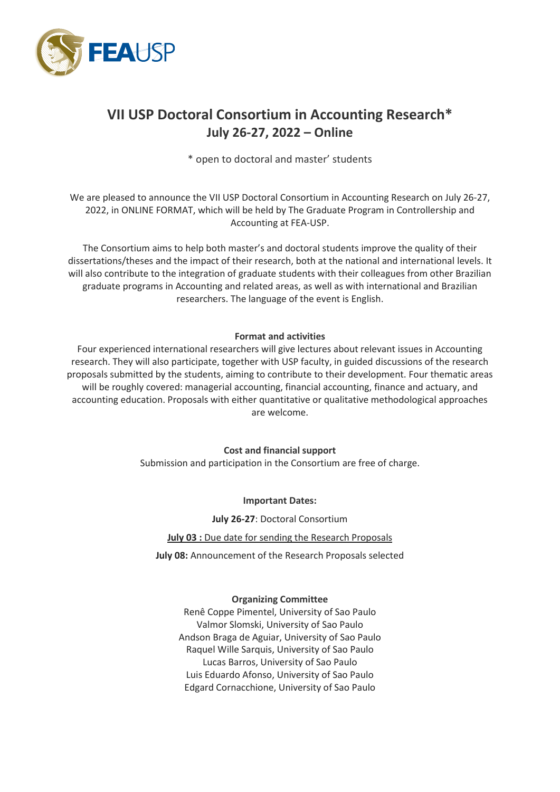

# **VII USP Doctoral Consortium in Accounting Research\* July 26-27, 2022 – Online**

\* open to doctoral and master' students

We are pleased to announce the VII USP Doctoral Consortium in Accounting Research on July 26-27, 2022, in ONLINE FORMAT, which will be held by The Graduate Program in Controllership and Accounting at FEA-USP.

The Consortium aims to help both master's and doctoral students improve the quality of their dissertations/theses and the impact of their research, both at the national and international levels. It will also contribute to the integration of graduate students with their colleagues from other Brazilian graduate programs in Accounting and related areas, as well as with international and Brazilian researchers. The language of the event is English.

# **Format and activities**

Four experienced international researchers will give lectures about relevant issues in Accounting research. They will also participate, together with USP faculty, in guided discussions of the research proposals submitted by the students, aiming to contribute to their development. Four thematic areas will be roughly covered: managerial accounting, financial accounting, finance and actuary, and accounting education. Proposals with either quantitative or qualitative methodological approaches are welcome.

**Cost and financial support**

Submission and participation in the Consortium are free of charge.

**Important Dates:**

**July 26-27**: Doctoral Consortium

**July 03 :** Due date for sending the Research Proposals

**July 08:** Announcement of the Research Proposals selected

## **Organizing Committee**

Renê Coppe Pimentel, University of Sao Paulo Valmor Slomski, University of Sao Paulo Andson Braga de Aguiar, University of Sao Paulo Raquel Wille Sarquis, University of Sao Paulo Lucas Barros, University of Sao Paulo Luis Eduardo Afonso, University of Sao Paulo Edgard Cornacchione, University of Sao Paulo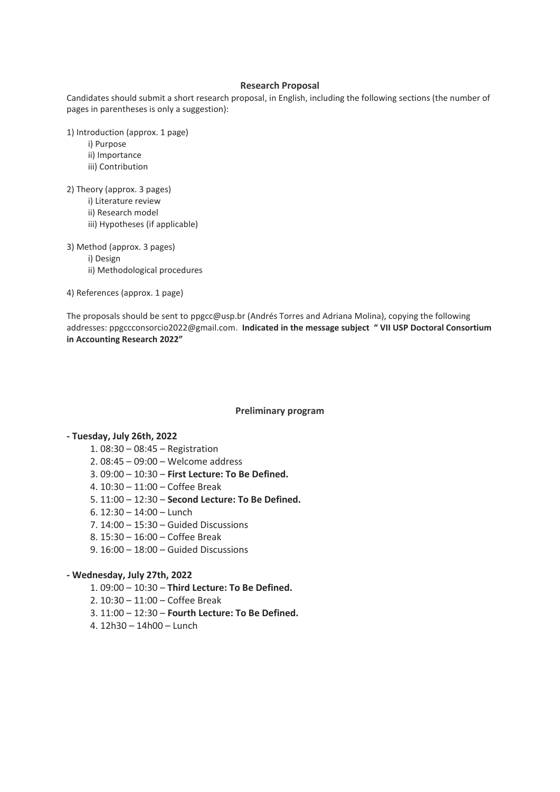#### **Research Proposal**

Candidates should submit a short research proposal, in English, including the following sections (the number of pages in parentheses is only a suggestion):

1) Introduction (approx. 1 page)

- i) Purpose
- ii) Importance
- iii) Contribution

2) Theory (approx. 3 pages)

- i) Literature review
- ii) Research model
- iii) Hypotheses (if applicable)
- 3) Method (approx. 3 pages) i) Design ii) Methodological procedures

4) References (approx. 1 page)

The proposals should be sent t[o ppgcc@usp.br](mailto:ppgcc@usp.br) (Andrés Torres and Adriana Molina), copying the following addresses[: ppgccconsorcio2022@gmail.com.](mailto:ppgccconsorcio2022@gmail.com) **Indicated in the message subject " VII USP Doctoral Consortium in Accounting Research 2022"**

#### **Preliminary program**

#### **- Tuesday, July 26th, 2022**

- 1. 08:30 08:45 Registration
- 2. 08:45 09:00 Welcome address
- 3. 09:00 10:30 **First Lecture: To Be Defined.**
- 4. 10:30 11:00 Coffee Break
- 5. 11:00 12:30 **Second Lecture: To Be Defined.**
- 6. 12:30 14:00 Lunch
- 7. 14:00 15:30 Guided Discussions
- 8. 15:30 16:00 Coffee Break
- 9. 16:00 18:00 Guided Discussions

### **- Wednesday, July 27th, 2022**

- 1. 09:00 10:30 **Third Lecture: To Be Defined.**
- 2. 10:30 11:00 Coffee Break
- 3. 11:00 12:30 **Fourth Lecture: To Be Defined.**
- 4. 12h30 14h00 Lunch